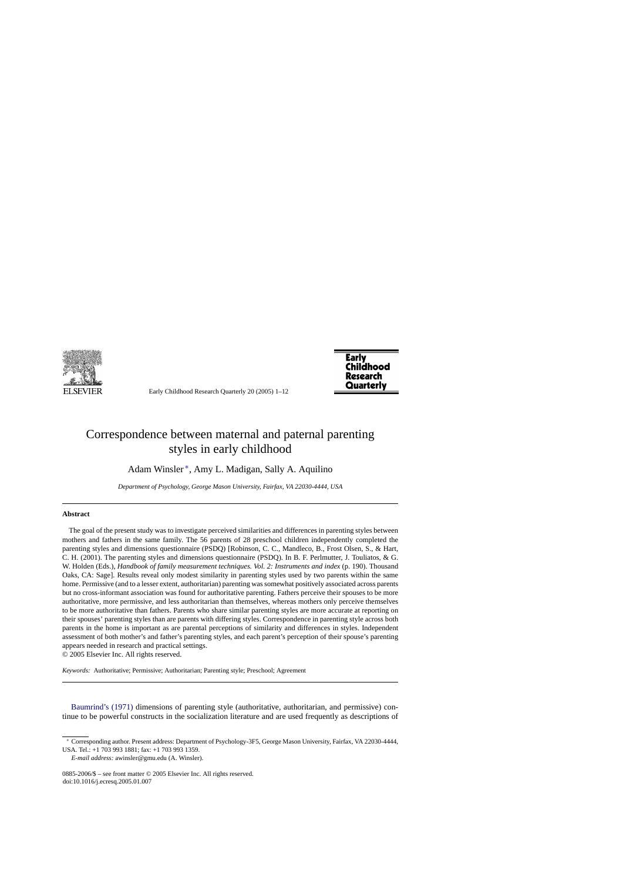

Early Childhood Research Quarterly 20 (2005) 1–12



## Correspondence between maternal and paternal parenting styles in early childhood

Adam Winsler ∗, Amy L. Madigan, Sally A. Aquilino

*Department of Psychology, George Mason University, Fairfax, VA 22030-4444, USA*

## **Abstract**

The goal of the present study was to investigate perceived similarities and differences in parenting styles between mothers and fathers in the same family. The 56 parents of 28 preschool children independently completed the parenting styles and dimensions questionnaire (PSDQ) [Robinson, C. C., Mandleco, B., Frost Olsen, S., & Hart, C. H. (2001). The parenting styles and dimensions questionnaire (PSDQ). In B. F. Perlmutter, J. Touliatos, & G. W. Holden (Eds.), *Handbook of family measurement techniques. Vol. 2: Instruments and index* (p. 190). Thousand Oaks, CA: Sage]. Results reveal only modest similarity in parenting styles used by two parents within the same home. Permissive (and to a lesser extent, authoritarian) parenting was somewhat positively associated across parents but no cross-informant association was found for authoritative parenting. Fathers perceive their spouses to be more authoritative, more permissive, and less authoritarian than themselves, whereas mothers only perceive themselves to be more authoritative than fathers. Parents who share similar parenting styles are more accurate at reporting on their spouses' parenting styles than are parents with differing styles. Correspondence in parenting style across both parents in the home is important as are parental perceptions of similarity and differences in styles. Independent assessment of both mother's and father's parenting styles, and each parent's perception of their spouse's parenting appears needed in research and practical settings.

© 2005 Elsevier Inc. All rights reserved.

*Keywords:* Authoritative; Permissive; Authoritarian; Parenting style; Preschool; Agreement

[Baumrind's \(1971\)](#page--1-0) dimensions of parenting style (authoritative, authoritarian, and permissive) continue to be powerful constructs in the socialization literature and are used frequently as descriptions of

<sup>∗</sup> Corresponding author. Present address: Department of Psychology-3F5, George Mason University, Fairfax, VA 22030-4444, USA. Tel.: +1 703 993 1881; fax: +1 703 993 1359.

*E-mail address:* awinsler@gmu.edu (A. Winsler).

<sup>0885-2006/\$ –</sup> see front matter © 2005 Elsevier Inc. All rights reserved. doi:10.1016/j.ecresq.2005.01.007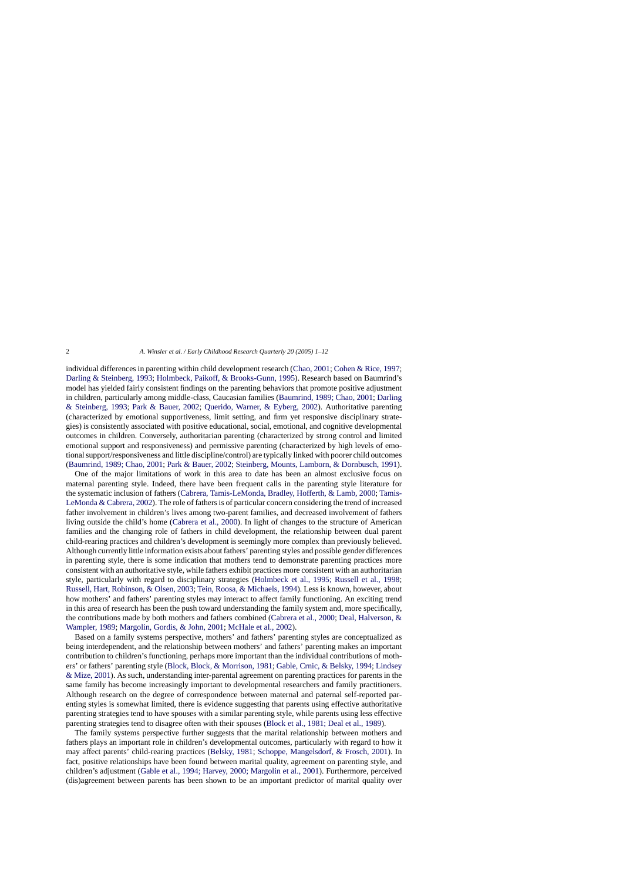individual differences in parenting within child development research [\(Chao, 2001;](#page--1-0) [Cohen & Rice, 1997;](#page--1-0) [Darling & Steinberg, 1993;](#page--1-0) [Holmbeck, Paikoff, & Brooks-Gunn, 1995\).](#page--1-0) Research based on Baumrind's model has yielded fairly consistent findings on the parenting behaviors that promote positive adjustment in children, particularly among middle-class, Caucasian families [\(Baumrind, 1989; Chao, 2001;](#page--1-0) [Darling](#page--1-0) & Steinberg, 1993; [Park & Bauer, 2002;](#page--1-0) [Querido, Warner, & Eyberg, 2002\)](#page--1-0). Authoritative parenting (characterized by emotional supportiveness, limit setting, and firm yet responsive disciplinary strategies) is consistently associated with positive educational, social, emotional, and cognitive developmental outcomes in children. Conversely, authoritarian parenting (characterized by strong control and limited emotional support and responsiveness) and permissive parenting (characterized by high levels of emotional support/responsiveness and little discipline/control) are typically linked with poorer child outcomes ([Baumrind, 1989; Chao, 2001;](#page--1-0) [Park & Bauer, 2002;](#page--1-0) [Steinberg, Mounts, Lamborn, & Dornbusch, 1991\).](#page--1-0)

One of the major limitations of work in this area to date has been an almost exclusive focus on maternal parenting style. Indeed, there have been frequent calls in the parenting style literature for the systematic inclusion of fathers [\(Cabrera, Tamis-LeMonda, Bradley, Hofferth, & Lamb, 2000;](#page--1-0) [Tamis-](#page--1-0)LeMonda & Cabrera, 2002). The role of fathers is of particular concern considering the trend of increased father involvement in children's lives among two-parent families, and decreased involvement of fathers living outside the child's home [\(Cabrera et al., 2000\)](#page--1-0). In light of changes to the structure of American families and the changing role of fathers in child development, the relationship between dual parent child-rearing practices and children's development is seemingly more complex than previously believed. Although currently little information exists about fathers' parenting styles and possible gender differences in parenting style, there is some indication that mothers tend to demonstrate parenting practices more consistent with an authoritative style, while fathers exhibit practices more consistent with an authoritarian style, particularly with regard to disciplinary strategies [\(Holmbeck et al., 1995; Russell et al., 1998](#page--1-0); [Russell, Hart, Robinson, & Olsen, 2003;](#page--1-0) [Tein, Roosa, & Michaels, 1994\).](#page--1-0) Less is known, however, about how mothers' and fathers' parenting styles may interact to affect family functioning. An exciting trend in this area of research has been the push toward understanding the family system and, more specifically, the contributions made by both mothers and fathers combined ([Cabrera et al., 2000;](#page--1-0) [Deal, Halverson, &](#page--1-0) Wampler, 1989; [Margolin, Gordis, & John, 2001;](#page--1-0) [McHale et al., 2002\).](#page--1-0)

Based on a family systems perspective, mothers' and fathers' parenting styles are conceptualized as being interdependent, and the relationship between mothers' and fathers' parenting makes an important contribution to children's functioning, perhaps more important than the individual contributions of mothers' or fathers' parenting style [\(Block, Block, & Morrison, 1981;](#page--1-0) [Gable, Crnic, & Belsky, 1994;](#page--1-0) [Lindsey](#page--1-0) & Mize, 2001). As such, understanding inter-parental agreement on parenting practices for parents in the same family has become increasingly important to developmental researchers and family practitioners. Although research on the degree of correspondence between maternal and paternal self-reported parenting styles is somewhat limited, there is evidence suggesting that parents using effective authoritative parenting strategies tend to have spouses with a similar parenting style, while parents using less effective parenting strategies tend to disagree often with their spouses [\(Block et al., 1981; Deal et al., 1989\).](#page--1-0)

The family systems perspective further suggests that the marital relationship between mothers and fathers plays an important role in children's developmental outcomes, particularly with regard to how it may affect parents' child-rearing practices [\(Belsky, 1981;](#page--1-0) [Schoppe, Mangelsdorf, & Frosch, 2001\)](#page--1-0). In fact, positive relationships have been found between marital quality, agreement on parenting style, and children's adjustment [\(Gable et al., 1994; Harvey, 2000; Margolin et al., 2001\)](#page--1-0). Furthermore, perceived (dis)agreement between parents has been shown to be an important predictor of marital quality over